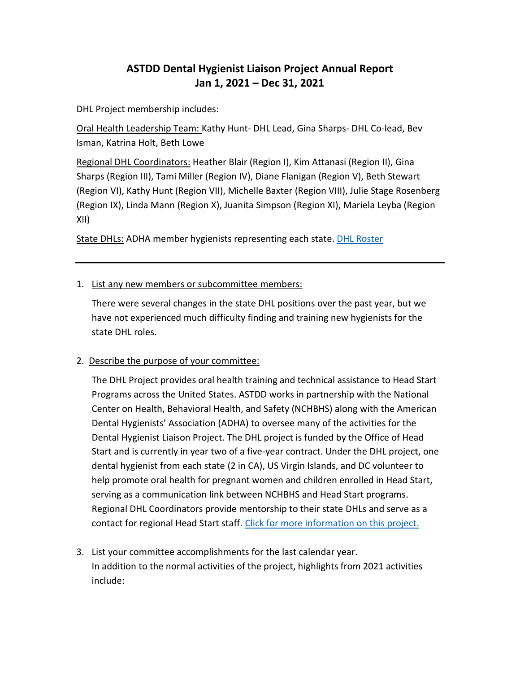## **ASTDD Dental Hygienist Liaison Project Annual Report Jan 1, 2021 – Dec 31, 2021**

DHL Project membership includes:

Oral Health Leadership Team: Kathy Hunt- DHL Lead, Gina Sharps- DHL Co-lead, Bev Isman, Katrina Holt, Beth Lowe

Regional DHL Coordinators: Heather Blair (Region I), Kim Attanasi (Region II), Gina Sharps (Region III), Tami Miller (Region IV), Diane Flanigan (Region V), Beth Stewart (Region VI), Kathy Hunt (Region VII), Michelle Baxter (Region VIII), Julie Stage Rosenberg (Region IX), Linda Mann (Region X), Juanita Simpson (Region XI), Mariela Leyba (Region XII)

State DHLs: ADHA member hygienists representing each state[. DHL Roster](https://www.astdd.org/docs/dhl-contact-list-by-state.pdf)

## 1. List any new members or subcommittee members:

There were several changes in the state DHL positions over the past year, but we have not experienced much difficulty finding and training new hygienists for the state DHL roles.

## 2. Describe the purpose of your committee:

The DHL Project provides oral health training and technical assistance to Head Start Programs across the United States. ASTDD works in partnership with the National Center on Health, Behavioral Health, and Safety (NCHBHS) along with the American Dental Hygienists' Association (ADHA) to oversee many of the activities for the Dental Hygienist Liaison Project. The DHL project is funded by the Office of Head Start and is currently in year two of a five-year contract. Under the DHL project, one dental hygienist from each state (2 in CA), US Virgin Islands, and DC volunteer to help promote oral health for pregnant women and children enrolled in Head Start, serving as a communication link between NCHBHS and Head Start programs. Regional DHL Coordinators provide mentorship to their state DHLs and serve as a contact for regional Head Start staff. [Click for more information on this project.](https://www.astdd.org/docs/nchbhs-dhl-project-handout-2021.pdf)

3. List your committee accomplishments for the last calendar year. In addition to the normal activities of the project, highlights from 2021 activities include: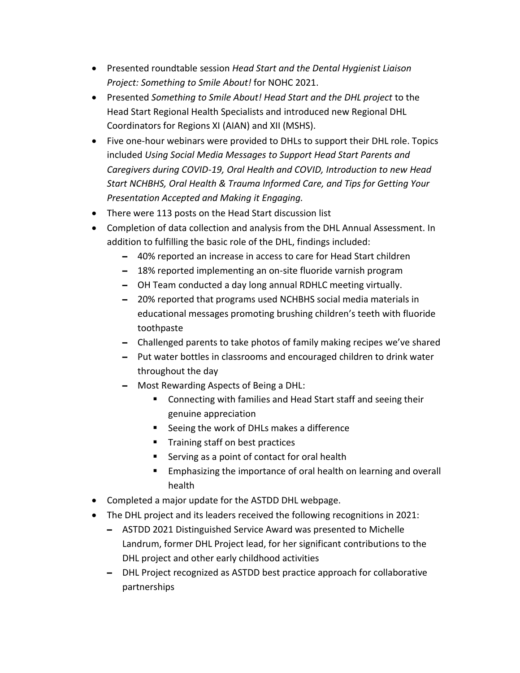- Presented roundtable session *Head Start and the Dental Hygienist Liaison Project: Something to Smile About!* for NOHC 2021.
- Presented *Something to Smile About! Head Start and the DHL project* to the Head Start Regional Health Specialists and introduced new Regional DHL Coordinators for Regions XI (AIAN) and XII (MSHS).
- Five one-hour webinars were provided to DHLs to support their DHL role. Topics included *Using Social Media Messages to Support Head Start Parents and Caregivers during COVID-19, Oral Health and COVID, Introduction to new Head Start NCHBHS, Oral Health & Trauma Informed Care, and Tips for Getting Your Presentation Accepted and Making it Engaging.*
- There were 113 posts on the Head Start discussion list
- Completion of data collection and analysis from the DHL Annual Assessment. In addition to fulfilling the basic role of the DHL, findings included:
	- **–** 40% reported an increase in access to care for Head Start children
	- **–** 18% reported implementing an on-site fluoride varnish program
	- **–** OH Team conducted a day long annual RDHLC meeting virtually.
	- **–** 20% reported that programs used NCHBHS social media materials in educational messages promoting brushing children's teeth with fluoride toothpaste
	- **–** Challenged parents to take photos of family making recipes we've shared
	- **–** Put water bottles in classrooms and encouraged children to drink water throughout the day
	- **–** Most Rewarding Aspects of Being a DHL:
		- Connecting with families and Head Start staff and seeing their genuine appreciation
		- Seeing the work of DHLs makes a difference
		- **■** Training staff on best practices
		- Serving as a point of contact for oral health
		- Emphasizing the importance of oral health on learning and overall health
- Completed a major update for the ASTDD DHL webpage.
- The DHL project and its leaders received the following recognitions in 2021:
	- **–** ASTDD 2021 Distinguished Service Award was presented to Michelle Landrum, former DHL Project lead, for her significant contributions to the DHL project and other early childhood activities
	- **–** DHL Project recognized as ASTDD best practice approach for collaborative partnerships